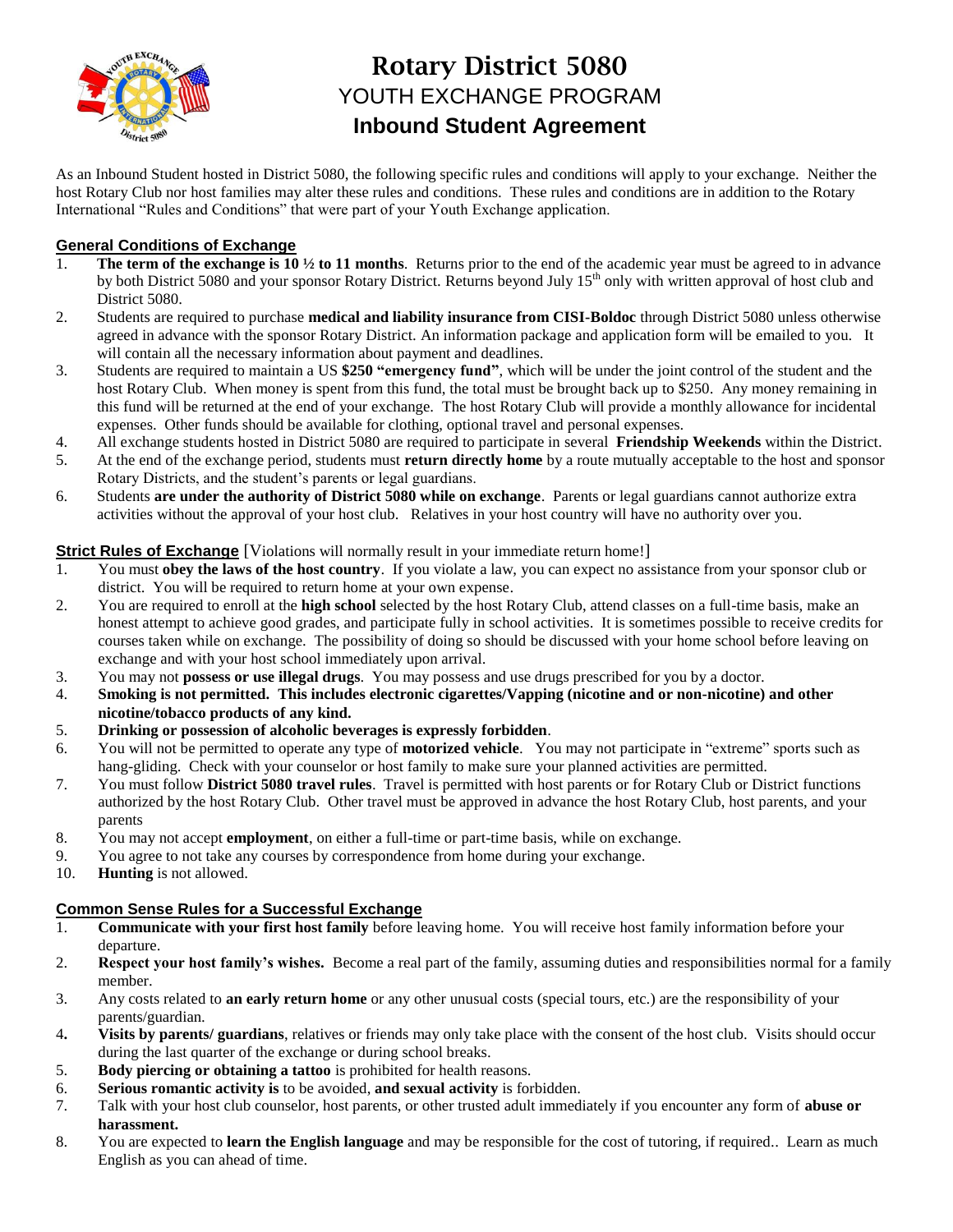

# **Rotary District 5080** YOUTH EXCHANGE PROGRAM **Inbound Student Agreement**

As an Inbound Student hosted in District 5080, the following specific rules and conditions will apply to your exchange. Neither the host Rotary Club nor host families may alter these rules and conditions. These rules and conditions are in addition to the Rotary International "Rules and Conditions" that were part of your Youth Exchange application.

## **General Conditions of Exchange**

- The term of the exchange is  $10 \frac{1}{2}$  to 11 months. Returns prior to the end of the academic year must be agreed to in advance by both District 5080 and your sponsor Rotary District. Returns beyond July 15<sup>th</sup> only with written approval of host club and District 5080.
- 2. Students are required to purchase **medical and liability insurance from CISI-Boldoc** through District 5080 unless otherwise agreed in advance with the sponsor Rotary District. An information package and application form will be emailed to you. It will contain all the necessary information about payment and deadlines.
- 3. Students are required to maintain a US **\$250 "emergency fund"**, which will be under the joint control of the student and the host Rotary Club. When money is spent from this fund, the total must be brought back up to \$250. Any money remaining in this fund will be returned at the end of your exchange. The host Rotary Club will provide a monthly allowance for incidental expenses. Other funds should be available for clothing, optional travel and personal expenses.
- 4. All exchange students hosted in District 5080 are required to participate in several **Friendship Weekends** within the District.
- 5. At the end of the exchange period, students must **return directly home** by a route mutually acceptable to the host and sponsor Rotary Districts, and the student's parents or legal guardians.
- 6. Students **are under the authority of District 5080 while on exchange**. Parents or legal guardians cannot authorize extra activities without the approval of your host club. Relatives in your host country will have no authority over you.

### **Strict Rules of Exchange** [Violations will normally result in your immediate return home!]

- 1. You must **obey the laws of the host country**. If you violate a law, you can expect no assistance from your sponsor club or district. You will be required to return home at your own expense.
- 2. You are required to enroll at the **high school** selected by the host Rotary Club, attend classes on a full-time basis, make an honest attempt to achieve good grades, and participate fully in school activities. It is sometimes possible to receive credits for courses taken while on exchange. The possibility of doing so should be discussed with your home school before leaving on exchange and with your host school immediately upon arrival.
- 3. You may not **possess or use illegal drugs**. You may possess and use drugs prescribed for you by a doctor.
- 4. **Smoking is not permitted. This includes electronic cigarettes/Vapping (nicotine and or non-nicotine) and other nicotine/tobacco products of any kind.**
- 5. **Drinking or possession of alcoholic beverages is expressly forbidden**.
- 6. You will not be permitted to operate any type of **motorized vehicle**. You may not participate in "extreme" sports such as hang-gliding. Check with your counselor or host family to make sure your planned activities are permitted.
- 7. You must follow **District 5080 travel rules**. Travel is permitted with host parents or for Rotary Club or District functions authorized by the host Rotary Club. Other travel must be approved in advance the host Rotary Club, host parents, and your parents
- 8. You may not accept **employment**, on either a full-time or part-time basis, while on exchange.
- 9. You agree to not take any courses by correspondence from home during your exchange.
- 10. **Hunting** is not allowed.

## **Common Sense Rules for a Successful Exchange**

- 1. **Communicate with your first host family** before leaving home. You will receive host family information before your departure.
- 2. **Respect your host family's wishes.** Become a real part of the family, assuming duties and responsibilities normal for a family member.
- 3. Any costs related to **an early return home** or any other unusual costs (special tours, etc.) are the responsibility of your parents/guardian.
- 4**. Visits by parents/ guardians**, relatives or friends may only take place with the consent of the host club. Visits should occur during the last quarter of the exchange or during school breaks.
- 5. **Body piercing or obtaining a tattoo** is prohibited for health reasons.
- 6. **Serious romantic activity is** to be avoided, **and sexual activity** is forbidden.
- 7. Talk with your host club counselor, host parents, or other trusted adult immediately if you encounter any form of **abuse or harassment.**
- 8. You are expected to **learn the English language** and may be responsible for the cost of tutoring, if required.. Learn as much English as you can ahead of time.